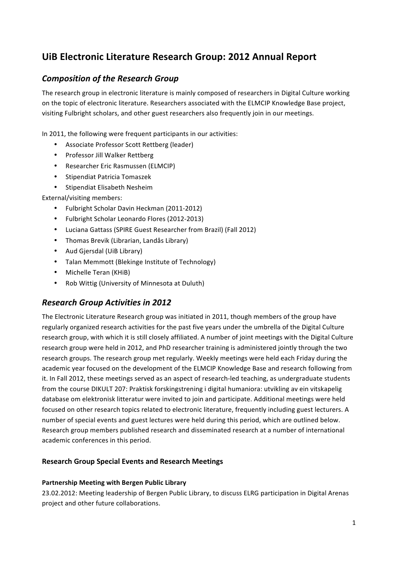# **UiB Electronic Literature Research Group: 2012 Annual Report**

# **Composition of the Research Group**

The research group in electronic literature is mainly composed of researchers in Digital Culture working on the topic of electronic literature. Researchers associated with the ELMCIP Knowledge Base project, visiting Fulbright scholars, and other guest researchers also frequently join in our meetings.

In 2011, the following were frequent participants in our activities:

- Associate Professor Scott Rettberg (leader)
- Professor Jill Walker Rettberg
- Researcher Eric Rasmussen (ELMCIP)
- Stipendiat Patricia Tomaszek
- Stipendiat Elisabeth Nesheim

External/visiting members:

- Fulbright Scholar Davin Heckman (2011-2012)
- Fulbright Scholar Leonardo Flores (2012-2013)
- Luciana Gattass (SPIRE Guest Researcher from Brazil) (Fall 2012)
- Thomas Brevik (Librarian, Landås Library)
- Aud Gjersdal (UiB Library)
- Talan Memmott (Blekinge Institute of Technology)
- Michelle Teran (KHiB)
- Rob Wittig (University of Minnesota at Duluth)

## *Research Group Activities in 2012*

The Electronic Literature Research group was initiated in 2011, though members of the group have regularly organized research activities for the past five years under the umbrella of the Digital Culture research group, with which it is still closely affiliated. A number of joint meetings with the Digital Culture research group were held in 2012, and PhD researcher training is administered iointly through the two research groups. The research group met regularly. Weekly meetings were held each Friday during the academic year focused on the development of the ELMCIP Knowledge Base and research following from it. In Fall 2012, these meetings served as an aspect of research-led teaching, as undergraduate students from the course DIKULT 207: Praktisk forskingstrening i digital humaniora: utvikling av ein vitskapelig database om elektronisk litteratur were invited to join and participate. Additional meetings were held focused on other research topics related to electronic literature, frequently including guest lecturers. A number of special events and guest lectures were held during this period, which are outlined below. Research group members published research and disseminated research at a number of international academic conferences in this period.

### **Research Group Special Events and Research Meetings**

### **Partnership Meeting with Bergen Public Library**

23.02.2012: Meeting leadership of Bergen Public Library, to discuss ELRG participation in Digital Arenas project and other future collaborations.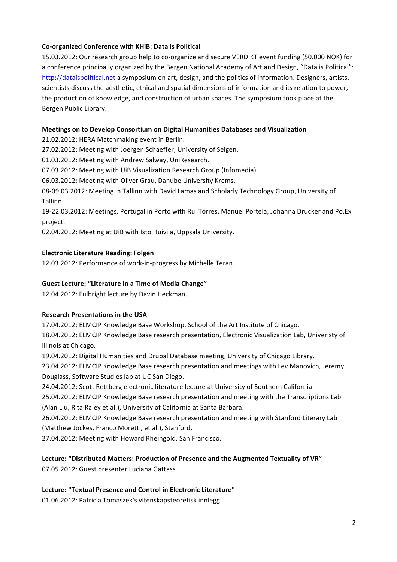### **Co-organized Conference with KHiB: Data is Political**

15.03.2012: Our research group help to co-organize and secure VERDIKT event funding (50.000 NOK) for a conference principally organized by the Bergen National Academy of Art and Design, "Data is Political": http://dataispolitical.net a symposium on art, design, and the politics of information. Designers, artists, scientists discuss the aesthetic, ethical and spatial dimensions of information and its relation to power, the production of knowledge, and construction of urban spaces. The symposium took place at the Bergen Public Library.

### **Meetings on to Develop Consortium on Digital Humanities Databases and Visualization**

21.02.2012: HERA Matchmaking event in Berlin.

27.02.2012: Meeting with Joergen Schaeffer, University of Seigen.

01.03.2012: Meeting with Andrew Salway, UniResearch.

07.03.2012: Meeting with UiB Visualization Research Group (Infomedia).

06.03.2012: Meeting with Oliver Grau, Danube University Krems.

08-09.03.2012: Meeting in Tallinn with David Lamas and Scholarly Technology Group, University of Tallinn.

19-22.03.2012: Meetings, Portugal in Porto with Rui Torres, Manuel Portela, Johanna Drucker and Po.Ex project. 

02.04.2012: Meeting at UiB with Isto Huivila, Uppsala University.

### **Electronic Literature Reading: Folgen**

12.03.2012: Performance of work-in-progress by Michelle Teran.

#### Guest Lecture: "Literature in a Time of Media Change"

12.04.2012: Fulbright lecture by Davin Heckman.

### **Research Presentations in the USA**

17.04.2012: ELMCIP Knowledge Base Workshop, School of the Art Institute of Chicago.

18.04.2012: ELMCIP Knowledge Base research presentation, Electronic Visualization Lab, Univeristy of Illinois at Chicago.

19.04.2012: Digital Humanities and Drupal Database meeting, University of Chicago Library.

23.04.2012: ELMCIP Knowledge Base research presentation and meetings with Lev Manovich, Jeremy Douglass, Software Studies lab at UC San Diego.

24.04.2012: Scott Rettberg electronic literature lecture at University of Southern California.

25.04.2012: ELMCIP Knowledge Base research presentation and meeting with the Transcriptions Lab (Alan Liu, Rita Raley et al.), University of California at Santa Barbara.

26.04.2012: ELMCIP Knowledge Base research presentation and meeting with Stanford Literary Lab (Matthew Jockes, Franco Moretti, et al.), Stanford.

27.04.2012: Meeting with Howard Rheingold, San Francisco.

### Lecture: "Distributed Matters: Production of Presence and the Augmented Textuality of VR" 07.05.2012: Guest presenter Luciana Gattass

Lecture: "Textual Presence and Control in Electronic Literature"

01.06.2012: Patricia Tomaszek's vitenskapsteoretisk innlegg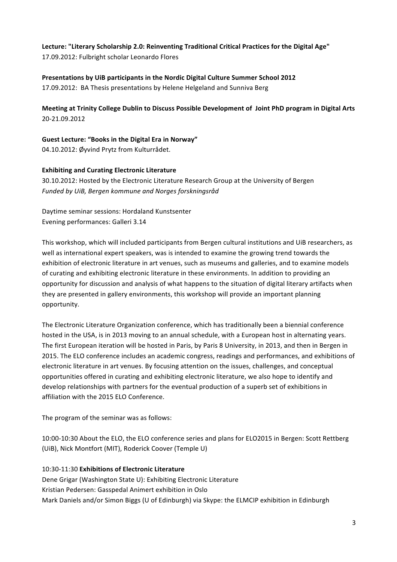Lecture: "Literary Scholarship 2.0: Reinventing Traditional Critical Practices for the Digital Age" 17.09.2012: Fulbright scholar Leonardo Flores

**Presentations by UiB participants in the Nordic Digital Culture Summer School 2012** 17.09.2012: BA Thesis presentations by Helene Helgeland and Sunniva Berg

**Meeting at Trinity College Dublin to Discuss Possible Development of Joint PhD program in Digital Arts** 20-21.09.2012

Guest Lecture: "Books in the Digital Era in Norway" 04.10.2012: Øyvind Prytz from Kulturrådet.

### **Exhibiting and Curating Electronic Literature**

30.10.2012: Hosted by the Electronic Literature Research Group at the University of Bergen *Funded by UiB, Bergen kommune and Norges forskningsråd*

Daytime seminar sessions: Hordaland Kunstsenter Evening performances: Galleri 3.14

This workshop, which will included participants from Bergen cultural institutions and UiB researchers, as well as international expert speakers, was is intended to examine the growing trend towards the exhibition of electronic literature in art venues, such as museums and galleries, and to examine models of curating and exhibiting electronic literature in these environments. In addition to providing an opportunity for discussion and analysis of what happens to the situation of digital literary artifacts when they are presented in gallery environments, this workshop will provide an important planning opportunity. 

The Electronic Literature Organization conference, which has traditionally been a biennial conference hosted in the USA, is in 2013 moving to an annual schedule, with a European host in alternating years. The first European iteration will be hosted in Paris, by Paris 8 University, in 2013, and then in Bergen in 2015. The ELO conference includes an academic congress, readings and performances, and exhibitions of electronic literature in art venues. By focusing attention on the issues, challenges, and conceptual opportunities offered in curating and exhibiting electronic literature, we also hope to identify and develop relationships with partners for the eventual production of a superb set of exhibitions in affiliation with the 2015 ELO Conference.

The program of the seminar was as follows:

10:00-10:30 About the ELO, the ELO conference series and plans for ELO2015 in Bergen: Scott Rettberg (UiB), Nick Montfort (MIT), Roderick Coover (Temple U)

### 10:30-11:30 **Exhibitions of Electronic Literature**

Dene Grigar (Washington State U): Exhibiting Electronic Literature Kristian Pedersen: Gasspedal Animert exhibition in Oslo Mark Daniels and/or Simon Biggs (U of Edinburgh) via Skype: the ELMCIP exhibition in Edinburgh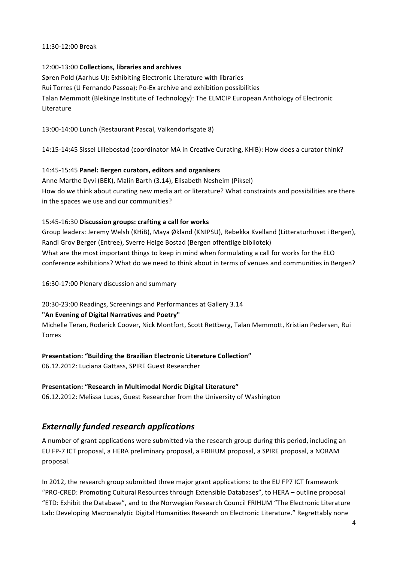#### 11:30-12:00 Break

### 12:00-13:00 Collections, libraries and archives

Søren Pold (Aarhus U): Exhibiting Electronic Literature with libraries Rui Torres (U Fernando Passoa): Po-Ex archive and exhibition possibilities Talan Memmott (Blekinge Institute of Technology): The ELMCIP European Anthology of Electronic Literature

13:00-14:00 Lunch (Restaurant Pascal, Valkendorfsgate 8)

14:15-14:45 Sissel Lillebostad (coordinator MA in Creative Curating, KHiB): How does a curator think?

### 14:45-15:45 Panel: Bergen curators, editors and organisers

Anne Marthe Dyvi (BEK), Malin Barth (3.14), Elisabeth Nesheim (Piksel) How do we think about curating new media art or literature? What constraints and possibilities are there in the spaces we use and our communities?

### 15:45-16:30 Discussion groups: crafting a call for works

Group leaders: Jeremy Welsh (KHiB), Maya Økland (KNIPSU), Rebekka Kvelland (Litteraturhuset i Bergen), Randi Grov Berger (Entree), Sverre Helge Bostad (Bergen offentlige bibliotek) What are the most important things to keep in mind when formulating a call for works for the ELO conference exhibitions? What do we need to think about in terms of venues and communities in Bergen?

16:30-17:00 Plenary discussion and summary

20:30-23:00 Readings, Screenings and Performances at Gallery 3.14

### "An Evening of Digital Narratives and Poetry"

Michelle Teran, Roderick Coover, Nick Montfort, Scott Rettberg, Talan Memmott, Kristian Pedersen, Rui Torres

### **Presentation: "Building the Brazilian Electronic Literature Collection"**

06.12.2012: Luciana Gattass, SPIRE Guest Researcher

### **Presentation: "Research in Multimodal Nordic Digital Literature"**

06.12.2012: Melissa Lucas, Guest Researcher from the University of Washington

# *Externally funded research applications*

A number of grant applications were submitted via the research group during this period, including an EU FP-7 ICT proposal, a HERA preliminary proposal, a FRIHUM proposal, a SPIRE proposal, a NORAM proposal. 

In 2012, the research group submitted three major grant applications: to the EU FP7 ICT framework "PRO-CRED: Promoting Cultural Resources through Extensible Databases", to HERA - outline proposal "ETD: Exhibit the Database", and to the Norwegian Research Council FRIHUM "The Electronic Literature Lab: Developing Macroanalytic Digital Humanities Research on Electronic Literature." Regrettably none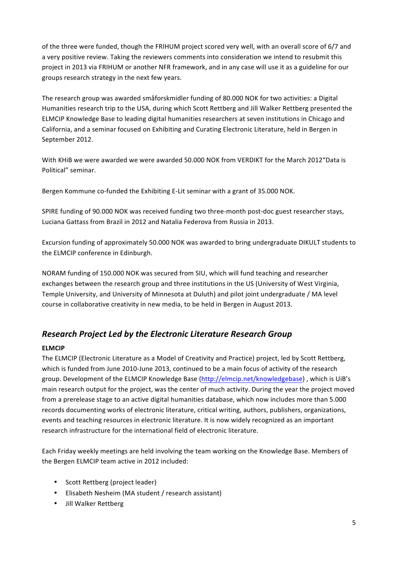of the three were funded, though the FRIHUM project scored very well, with an overall score of 6/7 and a very positive review. Taking the reviewers comments into consideration we intend to resubmit this project in 2013 via FRIHUM or another NFR framework, and in any case will use it as a guideline for our groups research strategy in the next few years.

The research group was awarded småforskmidler funding of 80.000 NOK for two activities: a Digital Humanities research trip to the USA, during which Scott Rettberg and Jill Walker Rettberg presented the ELMCIP Knowledge Base to leading digital humanities researchers at seven institutions in Chicago and California, and a seminar focused on Exhibiting and Curating Electronic Literature, held in Bergen in September 2012.

With KHiB we were awarded we were awarded 50.000 NOK from VERDIKT for the March 2012 "Data is Political" seminar.

Bergen Kommune co-funded the Exhibiting E-Lit seminar with a grant of 35.000 NOK.

SPIRE funding of 90.000 NOK was received funding two three-month post-doc guest researcher stays, Luciana Gattass from Brazil in 2012 and Natalia Federova from Russia in 2013.

Excursion funding of approximately 50.000 NOK was awarded to bring undergraduate DIKULT students to the ELMCIP conference in Edinburgh.

NORAM funding of 150.000 NOK was secured from SIU, which will fund teaching and researcher exchanges between the research group and three institutions in the US (University of West Virginia, Temple University, and University of Minnesota at Duluth) and pilot joint undergraduate / MA level course in collaborative creativity in new media, to be held in Bergen in August 2013.

# *Research Project Led by the Electronic Literature Research Group*

### **ELMCIP**

The ELMCIP (Electronic Literature as a Model of Creativity and Practice) project, led by Scott Rettberg, which is funded from June 2010-June 2013, continued to be a main focus of activity of the research group. Development of the ELMCIP Knowledge Base (http://elmcip.net/knowledgebase), which is UiB's main research output for the project, was the center of much activity. During the year the project moved from a prerelease stage to an active digital humanities database, which now includes more than 5.000 records documenting works of electronic literature, critical writing, authors, publishers, organizations, events and teaching resources in electronic literature. It is now widely recognized as an important research infrastructure for the international field of electronic literature.

Each Friday weekly meetings are held involving the team working on the Knowledge Base. Members of the Bergen ELMCIP team active in 2012 included:

- Scott Rettberg (project leader)
- Elisabeth Nesheim (MA student / research assistant)
- Jill Walker Rettberg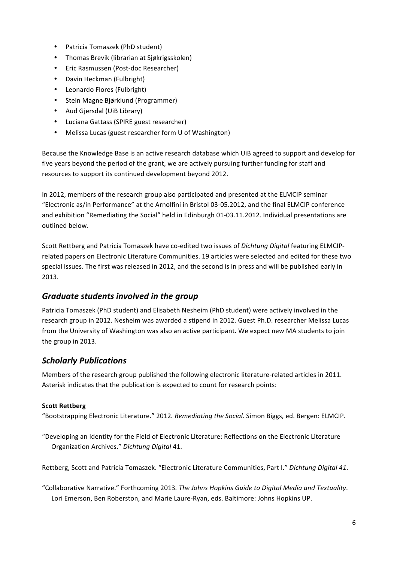- Patricia Tomaszek (PhD student)
- Thomas Brevik (librarian at Siøkrigsskolen)
- Eric Rasmussen (Post-doc Researcher)
- Davin Heckman (Fulbright)
- Leonardo Flores (Fulbright)
- Stein Magne Bjørklund (Programmer)
- Aud Gjersdal (UiB Library)
- Luciana Gattass (SPIRE guest researcher)
- Melissa Lucas (guest researcher form U of Washington)

Because the Knowledge Base is an active research database which UiB agreed to support and develop for five years beyond the period of the grant, we are actively pursuing further funding for staff and resources to support its continued development beyond 2012.

In 2012, members of the research group also participated and presented at the ELMCIP seminar "Electronic as/in Performance" at the Arnolfini in Bristol 03-05.2012, and the final ELMCIP conference and exhibition "Remediating the Social" held in Edinburgh 01-03.11.2012. Individual presentations are outlined below.

Scott Rettberg and Patricia Tomaszek have co-edited two issues of *Dichtung Digital* featuring ELMCIPrelated papers on Electronic Literature Communities. 19 articles were selected and edited for these two special issues. The first was released in 2012, and the second is in press and will be published early in 2013.

## *Graduate students involved in the group*

Patricia Tomaszek (PhD student) and Elisabeth Nesheim (PhD student) were actively involved in the research group in 2012. Nesheim was awarded a stipend in 2012. Guest Ph.D. researcher Melissa Lucas from the University of Washington was also an active participant. We expect new MA students to join the group in 2013.

## *Scholarly Publications*

Members of the research group published the following electronic literature-related articles in 2011. Asterisk indicates that the publication is expected to count for research points:

### **Scott Rettberg**

"Bootstrapping Electronic Literature." 2012. Remediating the Social. Simon Biggs, ed. Bergen: ELMCIP.

"Developing an Identity for the Field of Electronic Literature: Reflections on the Electronic Literature Organization Archives." *Dichtung Digital* 41.

Rettberg, Scott and Patricia Tomaszek. "Electronic Literature Communities, Part I." Dichtung Digital 41.

"Collaborative Narrative." Forthcoming 2013*. The Johns Hopkins Guide to Digital Media and Textuality*. Lori Emerson, Ben Roberston, and Marie Laure-Ryan, eds. Baltimore: Johns Hopkins UP.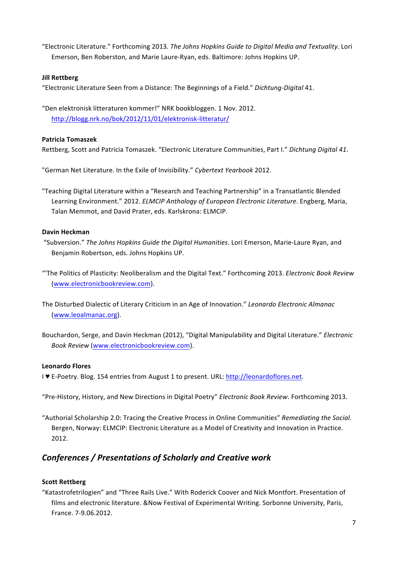"Electronic Literature." Forthcoming 2013. The Johns Hopkins Guide to Digital Media and Textuality. Lori Emerson, Ben Roberston, and Marie Laure-Ryan, eds. Baltimore: Johns Hopkins UP.

### **Jill Rettberg**

"Electronic Literature Seen from a Distance: The Beginnings of a Field." *Dichtung-Digital* 41.

"Den elektronisk litteraturen kommer!" NRK bookbloggen. 1 Nov. 2012. http://blogg.nrk.no/bok/2012/11/01/elektronisk-litteratur/

### **Patricia Tomaszek**

Rettberg, Scott and Patricia Tomaszek. "Electronic Literature Communities, Part I." Dichtung Digital 41.

"German Net Literature. In the Exile of Invisibility." Cybertext Yearbook 2012.

"Teaching Digital Literature within a "Research and Teaching Partnership" in a Transatlantic Blended Learning Environment." 2012. *ELMCIP Anthology of European Electronic Literature*. Engberg, Maria, Talan Memmot, and David Prater, eds. Karlskrona: ELMCIP.

### **Davin Heckman**

- "Subversion." The Johns Hopkins Guide the Digital Humanities. Lori Emerson, Marie-Laure Ryan, and Benjamin Robertson, eds. Johns Hopkins UP.
- "The Politics of Plasticity: Neoliberalism and the Digital Text." Forthcoming 2013. *Electronic Book Review* (www.electronicbookreview.com).
- The Disturbed Dialectic of Literary Criticism in an Age of Innovation." *Leonardo Electronic Almanac* (www.leoalmanac.org).
- Bouchardon, Serge, and Davin Heckman (2012), "Digital Manipulability and Digital Literature." *Electronic Book Review* (www.electronicbookreview.com).

### **Leonardo Flores**

I ♥ E-Poetry. Blog. 154 entries from August 1 to present. URL: http://leonardoflores.net.

"Pre-History, History, and New Directions in Digital Poetry" *Electronic Book Review*. Forthcoming 2013.

"Authorial Scholarship 2.0: Tracing the Creative Process in Online Communities" Remediating the Social. Bergen, Norway: ELMCIP: Electronic Literature as a Model of Creativity and Innovation in Practice. 2012.

## *Conferences / Presentations of Scholarly and Creative work*

#### **Scott Rettberg**

"Katastrofetrilogien" and "Three Rails Live." With Roderick Coover and Nick Montfort. Presentation of films and electronic literature. &Now Festival of Experimental Writing. Sorbonne University, Paris, France. 7-9.06.2012.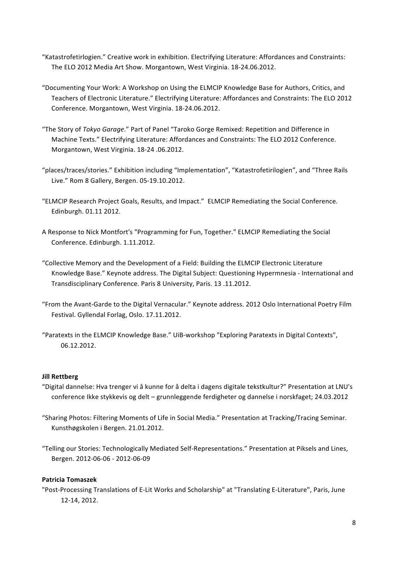- "Katastrofetirlogien." Creative work in exhibition. Electrifying Literature: Affordances and Constraints: The ELO 2012 Media Art Show. Morgantown, West Virginia. 18-24.06.2012.
- "Documenting Your Work: A Workshop on Using the ELMCIP Knowledge Base for Authors, Critics, and Teachers of Electronic Literature." Electrifying Literature: Affordances and Constraints: The ELO 2012 Conference. Morgantown, West Virginia. 18-24.06.2012.
- "The Story of *Tokyo Garage*." Part of Panel "Taroko Gorge Remixed: Repetition and Difference in Machine Texts." Electrifying Literature: Affordances and Constraints: The ELO 2012 Conference. Morgantown, West Virginia. 18-24 .06.2012.
- "places/traces/stories." Exhibition including "Implementation", "Katastrofetirilogien", and "Three Rails Live." Rom 8 Gallery, Bergen. 05-19.10.2012.
- "ELMCIP Research Project Goals, Results, and Impact." ELMCIP Remediating the Social Conference. Edinburgh. 01.11 2012.
- A Response to Nick Montfort's "Programming for Fun, Together." ELMCIP Remediating the Social Conference. Edinburgh. 1.11.2012.
- "Collective Memory and the Development of a Field: Building the ELMCIP Electronic Literature Knowledge Base." Keynote address. The Digital Subject: Questioning Hypermnesia - International and Transdisciplinary Conference. Paris 8 University, Paris. 13 .11.2012.
- "From the Avant-Garde to the Digital Vernacular." Keynote address. 2012 Oslo International Poetry Film Festival. Gyllendal Forlag, Oslo. 17.11.2012.
- "Paratexts in the ELMCIP Knowledge Base." UiB-workshop "Exploring Paratexts in Digital Contexts", 06.12.2012.

#### **Jill Rettberg**

- "Digital dannelse: Hva trenger vi å kunne for å delta i dagens digitale tekstkultur?" Presentation at LNU's conference Ikke stykkevis og delt - grunnleggende ferdigheter og dannelse i norskfaget; 24.03.2012
- "Sharing Photos: Filtering Moments of Life in Social Media." Presentation at Tracking/Tracing Seminar. Kunsthøgskolen i Bergen. 21.01.2012.
- "Telling our Stories: Technologically Mediated Self-Representations." Presentation at Piksels and Lines, Bergen. 2012-06-06 - 2012-06-09

#### **Patricia Tomaszek**

"Post-Processing Translations of E-Lit Works and Scholarship" at "Translating E-Literature", Paris, June 12-14, 2012.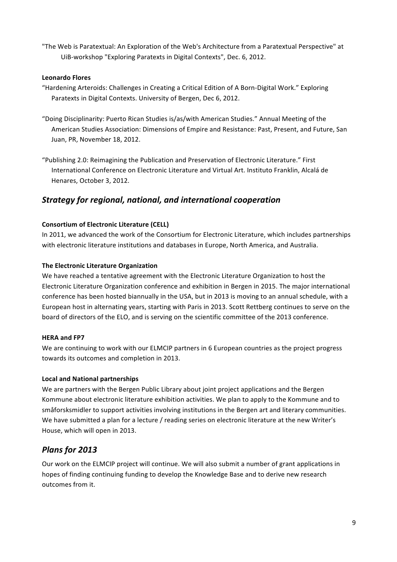"The Web is Paratextual: An Exploration of the Web's Architecture from a Paratextual Perspective" at UiB-workshop "Exploring Paratexts in Digital Contexts", Dec. 6, 2012.

### **Leonardo Flores**

- "Hardening Arteroids: Challenges in Creating a Critical Edition of A Born-Digital Work." Exploring Paratexts in Digital Contexts. University of Bergen, Dec 6, 2012.
- "Doing Disciplinarity: Puerto Rican Studies is/as/with American Studies." Annual Meeting of the American Studies Association: Dimensions of Empire and Resistance: Past, Present, and Future, San Juan, PR, November 18, 2012.
- "Publishing 2.0: Reimagining the Publication and Preservation of Electronic Literature." First International Conference on Electronic Literature and Virtual Art. Instituto Franklin, Alcalá de Henares, October 3, 2012.

## *Strategy for regional, national, and international cooperation*

### **Consortium of Electronic Literature (CELL)**

In 2011, we advanced the work of the Consortium for Electronic Literature, which includes partnerships with electronic literature institutions and databases in Europe, North America, and Australia.

### **The Electronic Literature Organization**

We have reached a tentative agreement with the Electronic Literature Organization to host the Electronic Literature Organization conference and exhibition in Bergen in 2015. The major international conference has been hosted biannually in the USA, but in 2013 is moving to an annual schedule, with a European host in alternating years, starting with Paris in 2013. Scott Rettberg continues to serve on the board of directors of the ELO, and is serving on the scientific committee of the 2013 conference.

### **HERA** and **FP7**

We are continuing to work with our ELMCIP partners in 6 European countries as the project progress towards its outcomes and completion in 2013.

### **Local and National partnerships**

We are partners with the Bergen Public Library about joint project applications and the Bergen Kommune about electronic literature exhibition activities. We plan to apply to the Kommune and to småforsksmidler to support activities involving institutions in the Bergen art and literary communities. We have submitted a plan for a lecture / reading series on electronic literature at the new Writer's House, which will open in 2013.

# *Plans for 2013*

Our work on the ELMCIP project will continue. We will also submit a number of grant applications in hopes of finding continuing funding to develop the Knowledge Base and to derive new research outcomes from it.